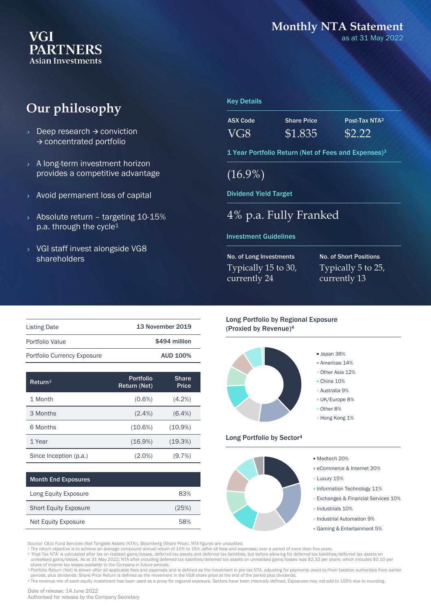### **VGI PARTNERS Asian Investments**

### **Monthly NTA Statement**

as at 31 May 2022

# **Our philosophy**

- $\rightarrow$  Deep research  $\rightarrow$  conviction → concentrated portfolio
- > A long-term investment horizon provides a competitive advantage
- Avoid permanent loss of capital
- $\rightarrow$  Absolute return targeting 10-15% p.a. through the cycle<sup>1</sup>
- VGI staff invest alongside VG8 shareholders

#### Key Details

| ASX Code | <b>Share Price</b> | Post-Tax NTA <sup>2</sup> |
|----------|--------------------|---------------------------|
| VG8      | \$1.835            | \$2.22                    |

1 Year Portfolio Return (Net of Fees and Expenses)<sup>3</sup>

(16.9%)

Dividend Yield Target

### 4% p.a. Fully Franked

#### Investment Guidelines

No. of Long Investments Typically 15 to 30, currently 24

No. of Short Positions Typically 5 to 25, currently 13

| <b>Listing Date</b>         | <b>13 November 2019</b> |
|-----------------------------|-------------------------|
| Portfolio Value             | \$494 million           |
| Portfolio Currency Exposure | <b>AUD 100%</b>         |

| Return <sup>3</sup>    | <b>Portfolio</b><br>Return (Net) | <b>Share</b><br><b>Price</b> |
|------------------------|----------------------------------|------------------------------|
| 1 Month                | $(0.6\%)$                        | $(4.2\%)$                    |
| 3 Months               | $(2.4\%)$                        | $(6.4\%)$                    |
| 6 Months               | $(10.6\%)$                       | $(10.9\%)$                   |
| 1 Year                 | $(16.9\%)$                       | (19.3%)                      |
| Since Inception (p.a.) | (2.0%)                           | $(9.7\%)$                    |

| <b>Month End Exposures</b>   |       |
|------------------------------|-------|
| Long Equity Exposure         | 83%   |
| <b>Short Equity Exposure</b> | (25%) |
| <b>Net Equity Exposure</b>   | 58%   |

Long Portfolio by Regional Exposure (Proxied by Revenue)<sup>4</sup>



#### Long Portfolio by Sector<sup>4</sup>



Source: Citco Fund Services (Net Tangible Assets (NTA)), Bloomberg (Share Price). NTA figures are unaudited.

1 The return objective is to achieve an average compound annual return of 10% to 15% (after all fees and expenses) over a period of more than five years.<br>2 'Post-Tax NTA' is calculated after tax on realised gains/losses,

<sup>3</sup> Portfolio Return (Net) is shown after all applicable fees and expenses and is defined as the movement in pre-tax NTA, adjusting for payments owed to/from taxation authorities from earlier periods, plus dividends. Share Price Return is defined as the movement in the VG8 share price at the end of the period plus dividends.

<sup>4</sup> The revenue mix of each equity investment has been used as a proxy for regional exposure. Sectors have been internally defined. Exposures may not add to 100% due to rounding.

Authorised for release by the Company Secretary